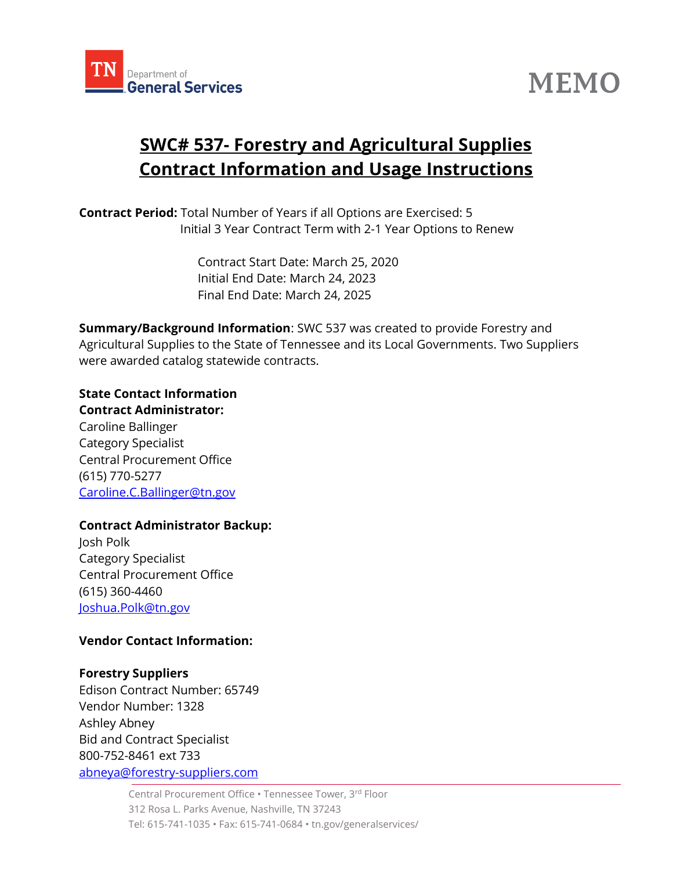



# SWC# 537- Forestry and Agricultural Supplies Contract Information and Usage Instructions

Contract Period: Total Number of Years if all Options are Exercised: 5 Initial 3 Year Contract Term with 2-1 Year Options to Renew

> Contract Start Date: March 25, 2020 Initial End Date: March 24, 2023 Final End Date: March 24, 2025

Summary/Background Information: SWC 537 was created to provide Forestry and Agricultural Supplies to the State of Tennessee and its Local Governments. Two Suppliers were awarded catalog statewide contracts.

State Contact Information Contract Administrator: Caroline Ballinger Category Specialist Central Procurement Office (615) 770-5277 Caroline.C.Ballinger@tn.gov

#### Contract Administrator Backup:

Josh Polk Category Specialist Central Procurement Office (615) 360-4460 Joshua.Polk@tn.gov

#### Vendor Contact Information:

#### Forestry Suppliers

Edison Contract Number: 65749 Vendor Number: 1328 Ashley Abney Bid and Contract Specialist 800-752-8461 ext 733 abneya@forestry-suppliers.com

> Central Procurement Office • Tennessee Tower, 3rd Floor 312 Rosa L. Parks Avenue, Nashville, TN 37243 Tel: 615-741-1035 • Fax: 615-741-0684 • tn.gov/generalservices/